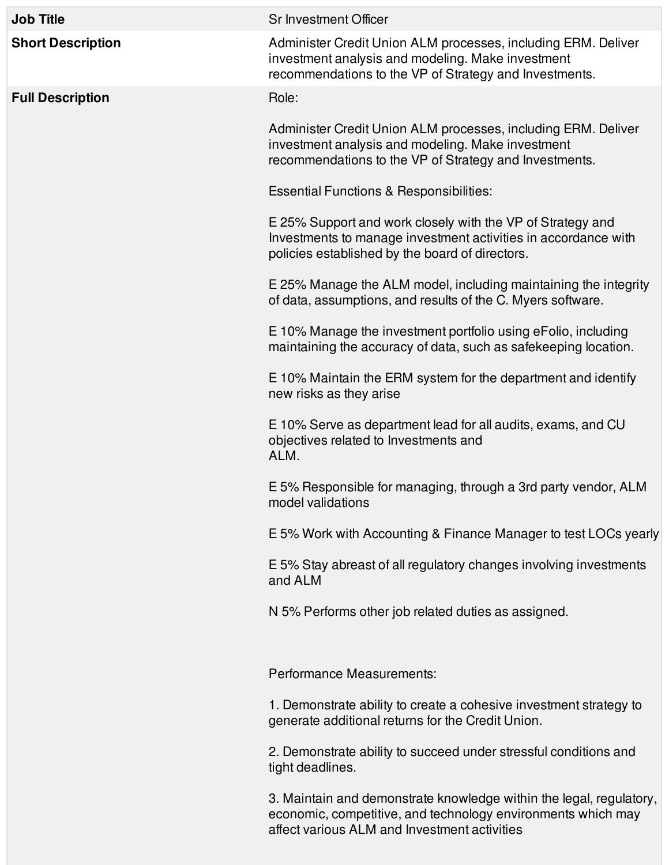| <b>Job Title</b>         | <b>Sr Investment Officer</b>                                                                                                                                                        |
|--------------------------|-------------------------------------------------------------------------------------------------------------------------------------------------------------------------------------|
| <b>Short Description</b> | Administer Credit Union ALM processes, including ERM. Deliver<br>investment analysis and modeling. Make investment<br>recommendations to the VP of Strategy and Investments.        |
| <b>Full Description</b>  | Role:                                                                                                                                                                               |
|                          | Administer Credit Union ALM processes, including ERM. Deliver<br>investment analysis and modeling. Make investment<br>recommendations to the VP of Strategy and Investments.        |
|                          | <b>Essential Functions &amp; Responsibilities:</b>                                                                                                                                  |
|                          | E 25% Support and work closely with the VP of Strategy and<br>Investments to manage investment activities in accordance with<br>policies established by the board of directors.     |
|                          | E 25% Manage the ALM model, including maintaining the integrity<br>of data, assumptions, and results of the C. Myers software.                                                      |
|                          | E 10% Manage the investment portfolio using eFolio, including<br>maintaining the accuracy of data, such as safekeeping location.                                                    |
|                          | E 10% Maintain the ERM system for the department and identify<br>new risks as they arise                                                                                            |
|                          | E 10% Serve as department lead for all audits, exams, and CU<br>objectives related to Investments and<br>ALM.                                                                       |
|                          | E 5% Responsible for managing, through a 3rd party vendor, ALM<br>model validations                                                                                                 |
|                          | E 5% Work with Accounting & Finance Manager to test LOCs yearly                                                                                                                     |
|                          | E 5% Stay abreast of all regulatory changes involving investments<br>and ALM                                                                                                        |
|                          | N 5% Performs other job related duties as assigned.                                                                                                                                 |
|                          | Performance Measurements:                                                                                                                                                           |
|                          | 1. Demonstrate ability to create a cohesive investment strategy to<br>generate additional returns for the Credit Union.                                                             |
|                          | 2. Demonstrate ability to succeed under stressful conditions and<br>tight deadlines.                                                                                                |
|                          | 3. Maintain and demonstrate knowledge within the legal, regulatory,<br>economic, competitive, and technology environments which may<br>affect various ALM and Investment activities |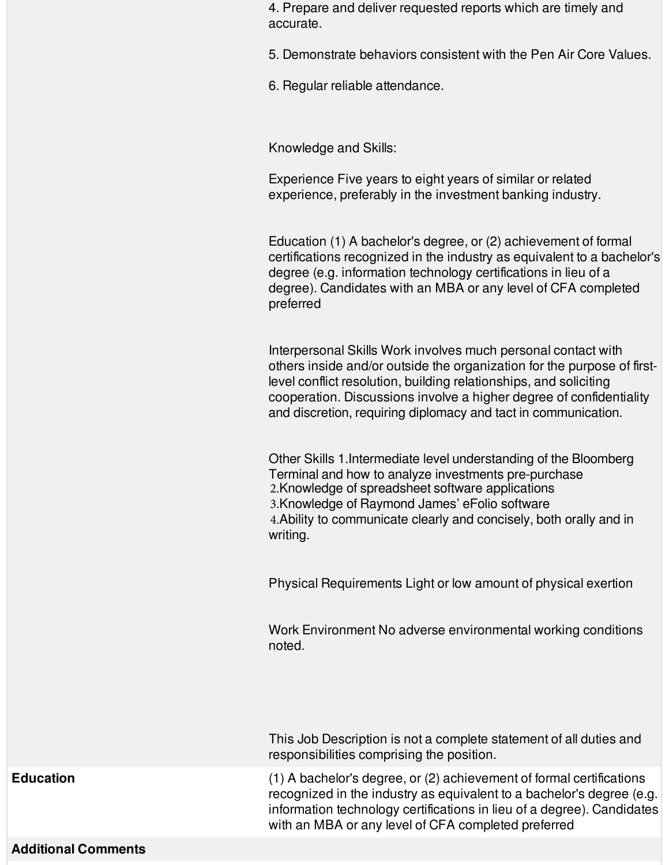4. Prepare and deliver requested reports which are timely and accurate.

5. Demonstrate behaviors consistent with the Pen Air Core Values.

6. Regular reliable attendance.

Knowledge and Skills:

Experience Five years to eight years of similar or related experience, preferably in the investment banking industry.

Education (1) A bachelor's degree, or (2) achievement of formal certifications recognized in the industry as equivalent to a bachelor's degree (e.g. information technology certifications in lieu of a degree). Candidates with an MBA or any level of CFA completed preferred

Interpersonal Skills Work involves much personal contact with others inside and/or outside the organization for the purpose of firstlevel conflict resolution, building relationships, and soliciting cooperation. Discussions involve a higher degree of confidentiality and discretion, requiring diplomacy and tact in communication.

Other Skills 1.Intermediate level understanding of the Bloomberg Terminal and how to analyze investments pre-purchase 2.Knowledge of spreadsheet software applications 3.Knowledge of Raymond James' eFolio software 4.Ability to communicate clearly and concisely, both orally and in writing.

Physical Requirements Light or low amount of physical exertion

Work Environment No adverse environmental working conditions noted.

This Job Description is not a complete statement of all duties and responsibilities comprising the position.

**Education** (1) A bachelor's degree, or (2) achievement of formal certifications recognized in the industry as equivalent to a bachelor's degree (e.g. information technology certifications in lieu of a degree). Candidates with an MBA or any level of CFA completed preferred

## **Additional Comments**